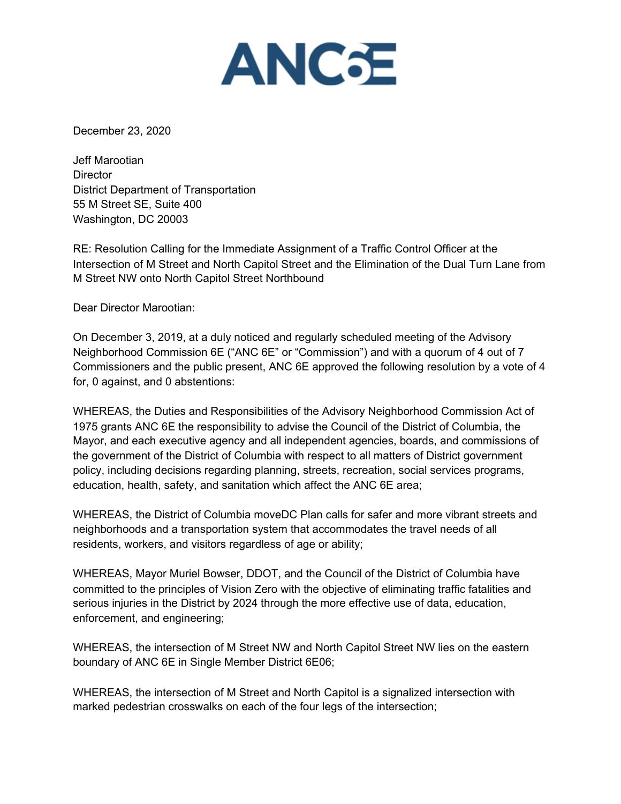

December 23, 2020

Jeff Marootian **Director** District Department of Transportation 55 M Street SE, Suite 400 Washington, DC 20003

RE: Resolution Calling for the Immediate Assignment of a Traffic Control Officer at the Intersection of M Street and North Capitol Street and the Elimination of the Dual Turn Lane from M Street NW onto North Capitol Street Northbound

Dear Director Marootian:

On December 3, 2019, at a duly noticed and regularly scheduled meeting of the Advisory Neighborhood Commission 6E ("ANC 6E" or "Commission") and with a quorum of 4 out of 7 Commissioners and the public present, ANC 6E approved the following resolution by a vote of 4 for, 0 against, and 0 abstentions:

WHEREAS, the Duties and Responsibilities of the Advisory Neighborhood Commission Act of 1975 grants ANC 6E the responsibility to advise the Council of the District of Columbia, the Mayor, and each executive agency and all independent agencies, boards, and commissions of the government of the District of Columbia with respect to all matters of District government policy, including decisions regarding planning, streets, recreation, social services programs, education, health, safety, and sanitation which affect the ANC 6E area;

WHEREAS, the District of Columbia moveDC Plan calls for safer and more vibrant streets and neighborhoods and a transportation system that accommodates the travel needs of all residents, workers, and visitors regardless of age or ability;

WHEREAS, Mayor Muriel Bowser, DDOT, and the Council of the District of Columbia have committed to the principles of Vision Zero with the objective of eliminating traffic fatalities and serious injuries in the District by 2024 through the more effective use of data, education, enforcement, and engineering;

WHEREAS, the intersection of M Street NW and North Capitol Street NW lies on the eastern boundary of ANC 6E in Single Member District 6E06;

WHEREAS, the intersection of M Street and North Capitol is a signalized intersection with marked pedestrian crosswalks on each of the four legs of the intersection;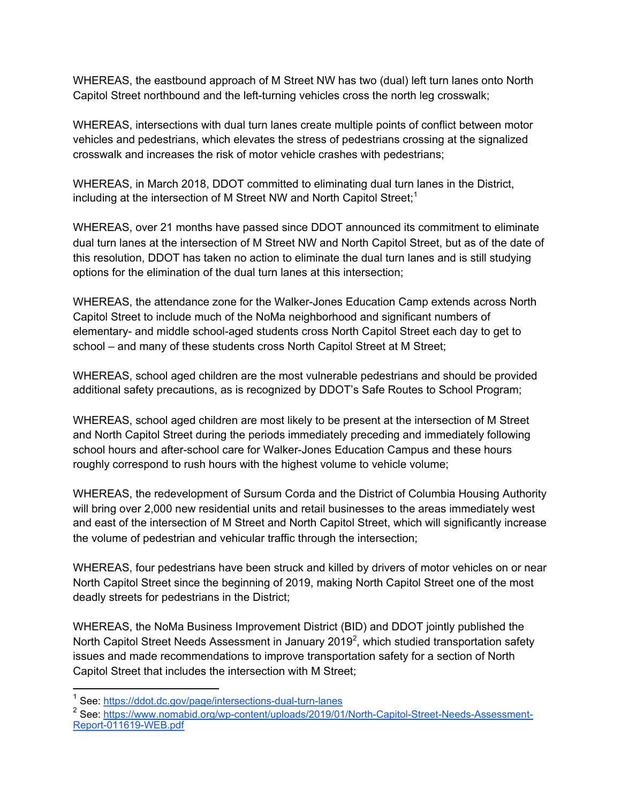WHEREAS, the eastbound approach of M Street NW has two (dual) left turn lanes onto North Capitol Street northbound and the left-turning vehicles cross the north leg crosswalk;

WHEREAS, intersections with dual turn lanes create multiple points of conflict between motor vehicles and pedestrians, which elevates the stress of pedestrians crossing at the signalized crosswalk and increases the risk of motor vehicle crashes with pedestrians;

WHEREAS, in March 2018, DDOT committed to eliminating dual turn lanes in the District, including at the intersection of M Street NW and North Capitol Street;<sup>1</sup>

WHEREAS, over 21 months have passed since DDOT announced its commitment to eliminate dual turn lanes at the intersection of M Street NW and North Capitol Street, but as of the date of this resolution, DDOT has taken no action to eliminate the dual turn lanes and is still studying options for the elimination of the dual turn lanes at this intersection;

WHEREAS, the attendance zone for the Walker-Jones Education Camp extends across North Capitol Street to include much of the NoMa neighborhood and significant numbers of elementary- and middle school-aged students cross North Capitol Street each day to get to school – and many of these students cross North Capitol Street at M Street;

WHEREAS, school aged children are the most vulnerable pedestrians and should be provided additional safety precautions, as is recognized by DDOT's Safe Routes to School Program;

WHEREAS, school aged children are most likely to be present at the intersection of M Street and North Capitol Street during the periods immediately preceding and immediately following school hours and after-school care for Walker-Jones Education Campus and these hours roughly correspond to rush hours with the highest volume to vehicle volume;

WHEREAS, the redevelopment of Sursum Corda and the District of Columbia Housing Authority will bring over 2,000 new residential units and retail businesses to the areas immediately west and east of the intersection of M Street and North Capitol Street, which will significantly increase the volume of pedestrian and vehicular traffic through the intersection;

WHEREAS, four pedestrians have been struck and killed by drivers of motor vehicles on or near North Capitol Street since the beginning of 2019, making North Capitol Street one of the most deadly streets for pedestrians in the District;

WHEREAS, the NoMa Business Improvement District (BID) and DDOT jointly published the North Capitol Street Needs Assessment in January 2019<sup>2</sup>, which studied transportation safety issues and made recommendations to improve transportation safety for a section of North Capitol Street that includes the intersection with M Street;

<sup>&</sup>lt;sup>1</sup> See: https://ddot.dc.gov/page/intersections-dual-turn-lanes

<sup>&</sup>lt;sup>2</sup> See: https://www.nomabid.org/wp-content/uploads/2019/01/North-Capitol-Street-Needs-Assessment-Report-011619-WEB.pdf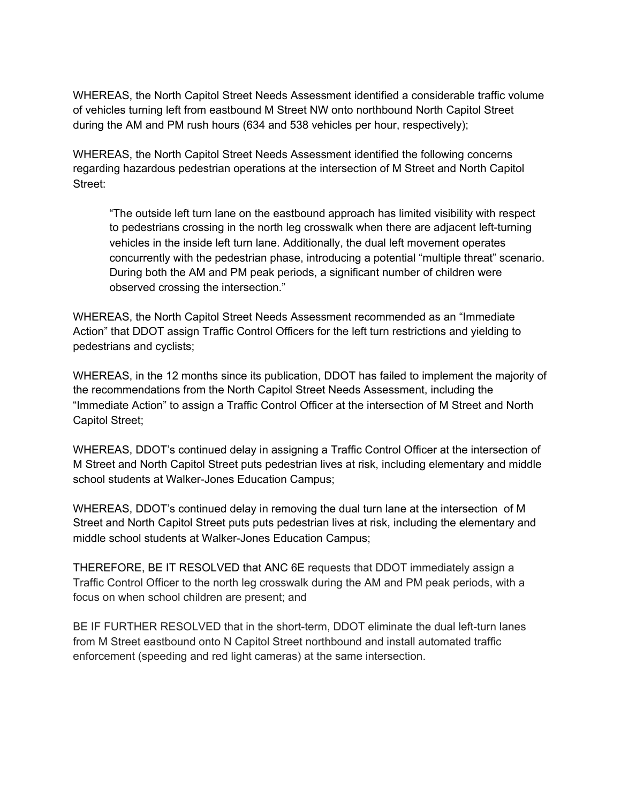WHEREAS, the North Capitol Street Needs Assessment identified a considerable traffic volume of vehicles turning left from eastbound M Street NW onto northbound North Capitol Street during the AM and PM rush hours (634 and 538 vehicles per hour, respectively);

WHEREAS, the North Capitol Street Needs Assessment identified the following concerns regarding hazardous pedestrian operations at the intersection of M Street and North Capitol Street:

"The outside left turn lane on the eastbound approach has limited visibility with respect to pedestrians crossing in the north leg crosswalk when there are adjacent left-turning vehicles in the inside left turn lane. Additionally, the dual left movement operates concurrently with the pedestrian phase, introducing a potential "multiple threat" scenario. During both the AM and PM peak periods, a significant number of children were observed crossing the intersection."

WHEREAS, the North Capitol Street Needs Assessment recommended as an "Immediate Action" that DDOT assign Traffic Control Officers for the left turn restrictions and yielding to pedestrians and cyclists;

WHEREAS, in the 12 months since its publication, DDOT has failed to implement the majority of the recommendations from the North Capitol Street Needs Assessment, including the "Immediate Action" to assign a Traffic Control Officer at the intersection of M Street and North Capitol Street;

WHEREAS, DDOT's continued delay in assigning a Traffic Control Officer at the intersection of M Street and North Capitol Street puts pedestrian lives at risk, including elementary and middle school students at Walker-Jones Education Campus;

WHEREAS, DDOT's continued delay in removing the dual turn lane at the intersection of M Street and North Capitol Street puts puts pedestrian lives at risk, including the elementary and middle school students at Walker-Jones Education Campus;

THEREFORE, BE IT RESOLVED that ANC 6E requests that DDOT immediately assign a Traffic Control Officer to the north leg crosswalk during the AM and PM peak periods, with a focus on when school children are present; and

BE IF FURTHER RESOLVED that in the short-term, DDOT eliminate the dual left-turn lanes from M Street eastbound onto N Capitol Street northbound and install automated traffic enforcement (speeding and red light cameras) at the same intersection.